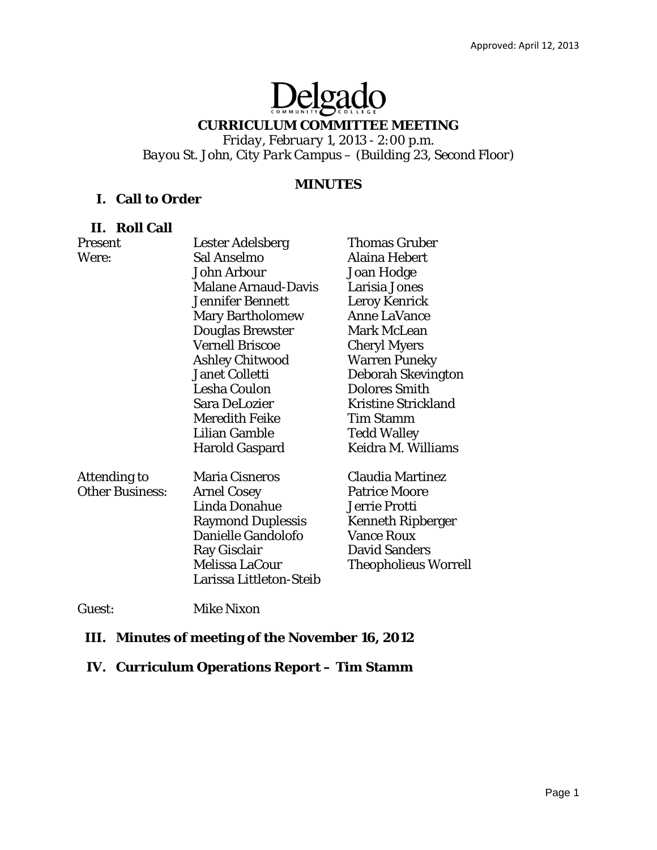# Delgado

## **CURRICULUM COMMITTEE MEETING**

*Friday, February 1, 2013 - 2:00 p.m. Bayou St. John, City Park Campus – (Building 23, Second Floor)* 

### **MINUTES**

# **I. Call to Order**

### **II. Roll Call**

| Present                | <b>Lester Adelsberg</b>    | <b>Thomas Gruber</b>        |
|------------------------|----------------------------|-----------------------------|
| Were:                  | Sal Anselmo                | <b>Alaina Hebert</b>        |
|                        | John Arbour                | Joan Hodge                  |
|                        | <b>Malane Arnaud-Davis</b> | Larisia Jones               |
|                        | <b>Jennifer Bennett</b>    | <b>Leroy Kenrick</b>        |
|                        | <b>Mary Bartholomew</b>    | <b>Anne LaVance</b>         |
|                        | <b>Douglas Brewster</b>    | <b>Mark McLean</b>          |
|                        | <b>Vernell Briscoe</b>     | <b>Cheryl Myers</b>         |
|                        | <b>Ashley Chitwood</b>     | <b>Warren Puneky</b>        |
|                        | <b>Janet Colletti</b>      | Deborah Skevington          |
|                        | Lesha Coulon               | <b>Dolores Smith</b>        |
|                        | Sara DeLozier              | <b>Kristine Strickland</b>  |
|                        | <b>Meredith Feike</b>      | <b>Tim Stamm</b>            |
|                        | Lilian Gamble              | <b>Tedd Walley</b>          |
|                        | Harold Gaspard             | Keidra M. Williams          |
| Attending to           | <b>Maria Cisneros</b>      | <b>Claudia Martinez</b>     |
| <b>Other Business:</b> | <b>Arnel Cosey</b>         | <b>Patrice Moore</b>        |
|                        | Linda Donahue              | Jerrie Protti               |
|                        | <b>Raymond Duplessis</b>   | <b>Kenneth Ripberger</b>    |
|                        | Danielle Gandolofo         | <b>Vance Roux</b>           |
|                        | Ray Gisclair               | <b>David Sanders</b>        |
|                        | Melissa LaCour             | <b>Theopholieus Worrell</b> |
|                        | Larissa Littleton-Steib    |                             |

### Guest: Mike Nixon

### **III. Minutes of meeting of the November 16, 2012**

### **IV. Curriculum Operations Report – Tim Stamm**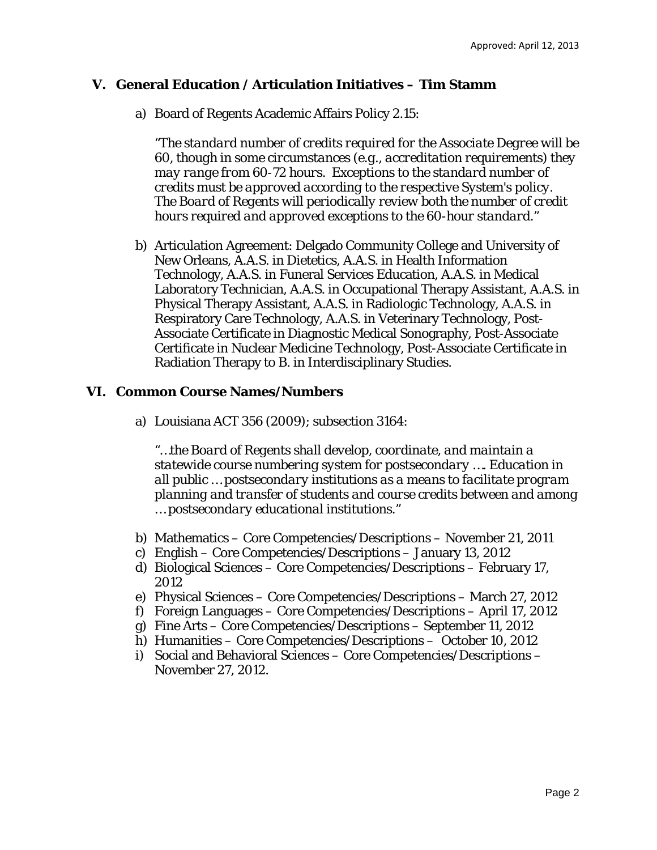### **V. General Education / Articulation Initiatives – Tim Stamm**

a) Board of Regents Academic Affairs Policy 2.15:

*"The standard number of credits required for the Associate Degree will be 60, though in some circumstances (e.g., accreditation requirements) they may range from 60-72 hours. Exceptions to the standard number of credits must be approved according to the respective System's policy. The Board of Regents will periodically review both the number of credit hours required and approved exceptions to the 60-hour standard."*

b) Articulation Agreement: Delgado Community College and University of New Orleans, A.A.S. in Dietetics, A.A.S. in Health Information Technology, A.A.S. in Funeral Services Education, A.A.S. in Medical Laboratory Technician, A.A.S. in Occupational Therapy Assistant, A.A.S. in Physical Therapy Assistant, A.A.S. in Radiologic Technology, A.A.S. in Respiratory Care Technology, A.A.S. in Veterinary Technology, Post-Associate Certificate in Diagnostic Medical Sonography, Post-Associate Certificate in Nuclear Medicine Technology, Post-Associate Certificate in Radiation Therapy to B. in Interdisciplinary Studies.

### **VI. Common Course Names/Numbers**

a) Louisiana ACT 356 (2009); subsection 3164:

*"…the Board of Regents shall develop, coordinate, and maintain a statewide course numbering system for postsecondary …. Education in all public … postsecondary institutions as a means to facilitate program planning and transfer of students and course credits between and among … postsecondary educational institutions."* 

- b) Mathematics Core Competencies/Descriptions November 21, 2011
- c) English Core Competencies/Descriptions January 13, 2012
- d) Biological Sciences Core Competencies/Descriptions February 17, 2012
- e) Physical Sciences Core Competencies/Descriptions March 27, 2012
- f) Foreign Languages Core Competencies/Descriptions April 17, 2012
- g) Fine Arts Core Competencies/Descriptions September 11, 2012
- h) Humanities Core Competencies/Descriptions October 10, 2012
- i) Social and Behavioral Sciences Core Competencies/Descriptions November 27, 2012.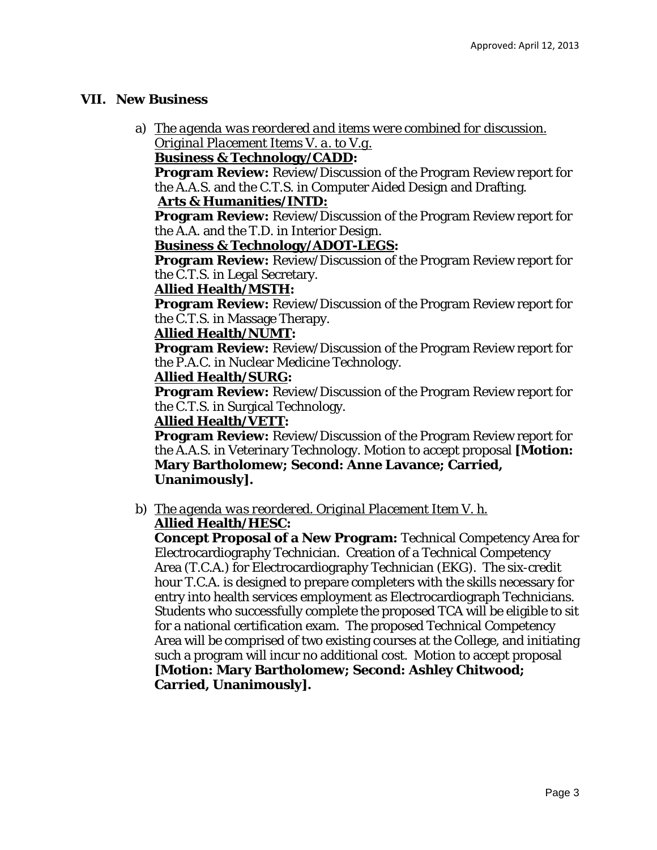### **VII. New Business**

a) *The agenda was reordered and items were combined for discussion. Original Placement Items V. a. to V.g.*

### **Business & Technology/CADD:**

**Program Review:** Review/Discussion of the Program Review report for the A.A.S. and the C.T.S. in Computer Aided Design and Drafting.

### **Arts & Humanities/INTD:**

**Program Review:** Review/Discussion of the Program Review report for the A.A. and the T.D. in Interior Design.

### **Business & Technology/ADOT-LEGS:**

**Program Review:** Review/Discussion of the Program Review report for the C.T.S. in Legal Secretary.

### **Allied Health/MSTH:**

**Program Review:** Review/Discussion of the Program Review report for the C.T.S. in Massage Therapy.

### **Allied Health/NUMT:**

**Program Review:** Review/Discussion of the Program Review report for the P.A.C. in Nuclear Medicine Technology.

### **Allied Health/SURG:**

**Program Review:** Review/Discussion of the Program Review report for the C.T.S. in Surgical Technology.

### **Allied Health/VETT:**

**Program Review:** Review/Discussion of the Program Review report for the A.A.S. in Veterinary Technology. Motion to accept proposal **[Motion: Mary Bartholomew; Second: Anne Lavance; Carried, Unanimously].** 

# b) *The agenda was reordered. Original Placement Item V. h.*

### **Allied Health/HESC:**

**Concept Proposal of a New Program:** Technical Competency Area for Electrocardiography Technician. Creation of a Technical Competency Area (T.C.A.) for Electrocardiography Technician (EKG). The six-credit hour T.C.A. is designed to prepare completers with the skills necessary for entry into health services employment as Electrocardiograph Technicians. Students who successfully complete the proposed TCA will be eligible to sit for a national certification exam. The proposed Technical Competency Area will be comprised of two existing courses at the College, and initiating such a program will incur no additional cost. Motion to accept proposal **[Motion: Mary Bartholomew; Second: Ashley Chitwood; Carried, Unanimously].**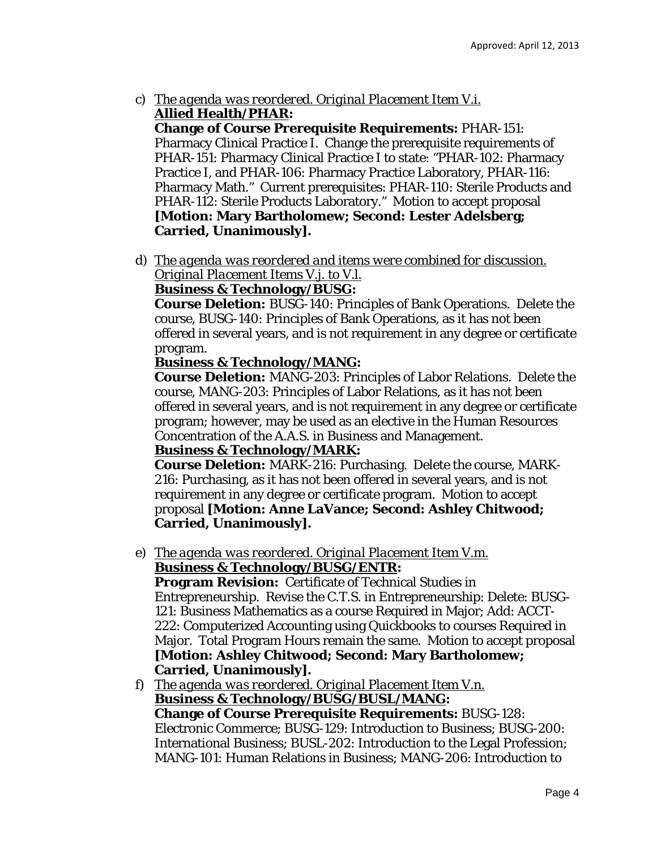c) *The agenda was reordered. Original Placement Item V.i.*  **Allied Health/PHAR:** 

**Change of Course Prerequisite Requirements:** PHAR-151: Pharmacy Clinical Practice I. Change the prerequisite requirements of PHAR-151: Pharmacy Clinical Practice I to state: "PHAR-102: Pharmacy Practice I, and PHAR-106: Pharmacy Practice Laboratory, PHAR-116: Pharmacy Math." Current prerequisites: PHAR-110: Sterile Products and PHAR-112: Sterile Products Laboratory." Motion to accept proposal **[Motion: Mary Bartholomew; Second: Lester Adelsberg; Carried, Unanimously].**

d) *The agenda was reordered and items were combined for discussion. Original Placement Items V.j. to V.l.* 

### **Business & Technology/BUSG:**

**Course Deletion:** BUSG-140: Principles of Bank Operations. Delete the course, BUSG-140: Principles of Bank Operations, as it has not been offered in several years, and is not requirement in any degree or certificate program.

## **Business & Technology/MANG:**

**Course Deletion:** MANG-203: Principles of Labor Relations. Delete the course, MANG-203: Principles of Labor Relations, as it has not been offered in several years, and is not requirement in any degree or certificate program; however, may be used as an elective in the Human Resources Concentration of the A.A.S. in Business and Management.

### **Business & Technology/MARK:**

**Course Deletion:** MARK-216: Purchasing. Delete the course, MARK-216: Purchasing, as it has not been offered in several years, and is not requirement in any degree or certificate program. Motion to accept proposal **[Motion: Anne LaVance; Second: Ashley Chitwood; Carried, Unanimously].**

e) *The agenda was reordered. Original Placement Item V.m.*  **Business & Technology/BUSG/ENTR:** 

**Program Revision:** Certificate of Technical Studies in Entrepreneurship. Revise the C.T.S. in Entrepreneurship: Delete: BUSG-121: Business Mathematics as a course Required in Major; Add: ACCT-222: Computerized Accounting using Quickbooks to courses Required in Major. Total Program Hours remain the same. Motion to accept proposal **[Motion: Ashley Chitwood; Second: Mary Bartholomew; Carried, Unanimously].**

f) *The agenda was reordered. Original Placement Item V.n.*  **Business & Technology/BUSG/BUSL/MANG: Change of Course Prerequisite Requirements:** BUSG-128: Electronic Commerce; BUSG-129: Introduction to Business; BUSG-200: International Business; BUSL-202: Introduction to the Legal Profession; MANG-101: Human Relations in Business; MANG-206: Introduction to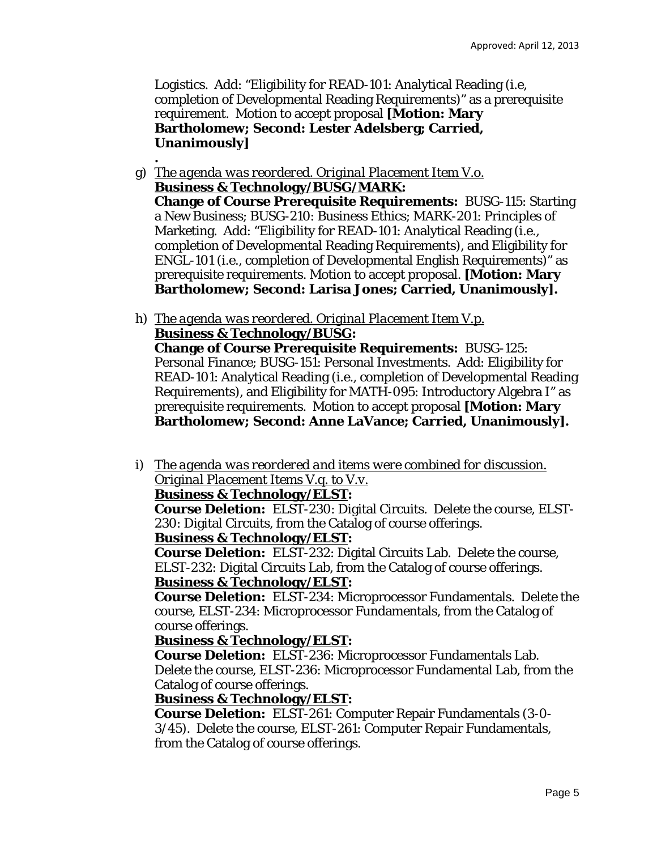Logistics. Add: "Eligibility for READ-101: Analytical Reading (i.e, completion of Developmental Reading Requirements)" as a prerequisite requirement. Motion to accept proposal **[Motion: Mary Bartholomew; Second: Lester Adelsberg; Carried, Unanimously]**

g) *The agenda was reordered. Original Placement Item V.o.* 

**.** 

**Business & Technology/BUSG/MARK: Change of Course Prerequisite Requirements:** BUSG-115: Starting a New Business; BUSG-210: Business Ethics; MARK-201: Principles of Marketing. Add: "Eligibility for READ-101: Analytical Reading (i.e., completion of Developmental Reading Requirements), and Eligibility for ENGL-101 (i.e., completion of Developmental English Requirements)" as prerequisite requirements. Motion to accept proposal. **[Motion: Mary Bartholomew; Second: Larisa Jones; Carried, Unanimously].**

- h) *The agenda was reordered. Original Placement Item V.p.*  **Business & Technology/BUSG: Change of Course Prerequisite Requirements:** BUSG-125: Personal Finance; BUSG-151: Personal Investments. Add: Eligibility for READ-101: Analytical Reading (i.e., completion of Developmental Reading Requirements), and Eligibility for MATH-095: Introductory Algebra I" as prerequisite requirements. Motion to accept proposal **[Motion: Mary Bartholomew; Second: Anne LaVance; Carried, Unanimously].**
- i) *The agenda was reordered and items were combined for discussion. Original Placement Items V.q. to V.v.*

**Business & Technology/ELST:** 

**Course Deletion:** ELST-230: Digital Circuits. Delete the course, ELST-230: Digital Circuits, from the Catalog of course offerings.

### **Business & Technology/ELST:**

**Course Deletion:** ELST-232: Digital Circuits Lab. Delete the course, ELST-232: Digital Circuits Lab, from the Catalog of course offerings. **Business & Technology/ELST:** 

**Course Deletion:** ELST-234: Microprocessor Fundamentals. Delete the course, ELST-234: Microprocessor Fundamentals, from the Catalog of course offerings.

### **Business & Technology/ELST:**

**Course Deletion:** ELST-236: Microprocessor Fundamentals Lab. Delete the course, ELST-236: Microprocessor Fundamental Lab, from the Catalog of course offerings.

### **Business & Technology/ELST:**

**Course Deletion:** ELST-261: Computer Repair Fundamentals (3-0- 3/45). Delete the course, ELST-261: Computer Repair Fundamentals, from the Catalog of course offerings.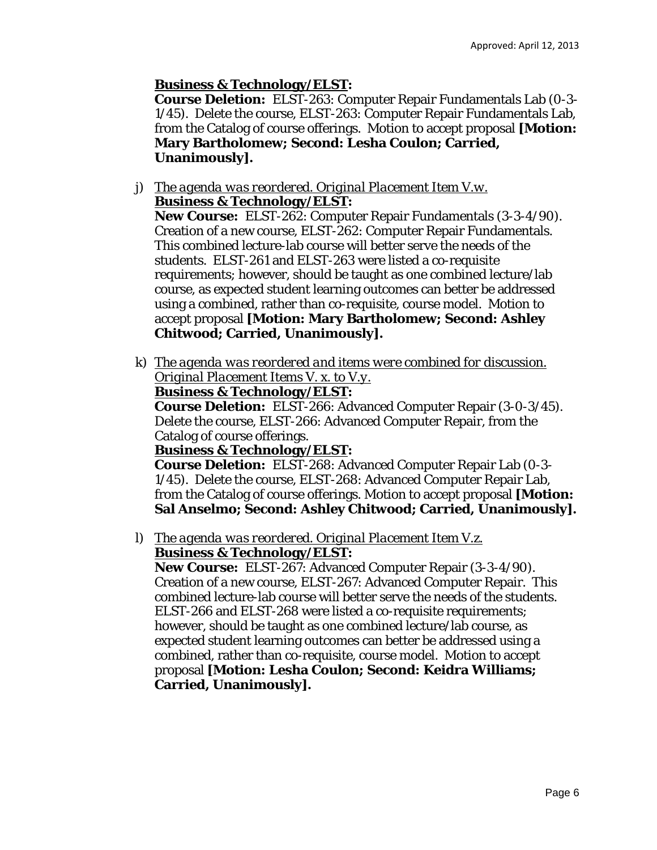# **Business & Technology/ELST:**

**Course Deletion:** ELST-263: Computer Repair Fundamentals Lab (0-3- 1/45). Delete the course, ELST-263: Computer Repair Fundamentals Lab, from the Catalog of course offerings. Motion to accept proposal **[Motion: Mary Bartholomew; Second: Lesha Coulon; Carried, Unanimously].**

### j) *The agenda was reordered. Original Placement Item V.w.*  **Business & Technology/ELST:**

**New Course:** ELST-262: Computer Repair Fundamentals (3-3-4/90). Creation of a new course, ELST-262: Computer Repair Fundamentals. This combined lecture-lab course will better serve the needs of the students. ELST-261 and ELST-263 were listed a co-requisite requirements; however, should be taught as one combined lecture/lab course, as expected student learning outcomes can better be addressed using a combined, rather than co-requisite, course model. Motion to accept proposal **[Motion: Mary Bartholomew; Second: Ashley Chitwood; Carried, Unanimously].**

k) *The agenda was reordered and items were combined for discussion. Original Placement Items V. x. to V.y.* 

### **Business & Technology/ELST:**

**Course Deletion:** ELST-266: Advanced Computer Repair (3-0-3/45). Delete the course, ELST-266: Advanced Computer Repair, from the Catalog of course offerings.

### **Business & Technology/ELST:**

**Course Deletion:** ELST-268: Advanced Computer Repair Lab (0-3- 1/45). Delete the course, ELST-268: Advanced Computer Repair Lab, from the Catalog of course offerings. Motion to accept proposal **[Motion: Sal Anselmo; Second: Ashley Chitwood; Carried, Unanimously].**

### l) *The agenda was reordered. Original Placement Item V.z.*  **Business & Technology/ELST:**

**New Course:** ELST-267: Advanced Computer Repair (3-3-4/90). Creation of a new course, ELST-267: Advanced Computer Repair. This combined lecture-lab course will better serve the needs of the students. ELST-266 and ELST-268 were listed a co-requisite requirements; however, should be taught as one combined lecture/lab course, as expected student learning outcomes can better be addressed using a combined, rather than co-requisite, course model. Motion to accept proposal **[Motion: Lesha Coulon; Second: Keidra Williams; Carried, Unanimously].**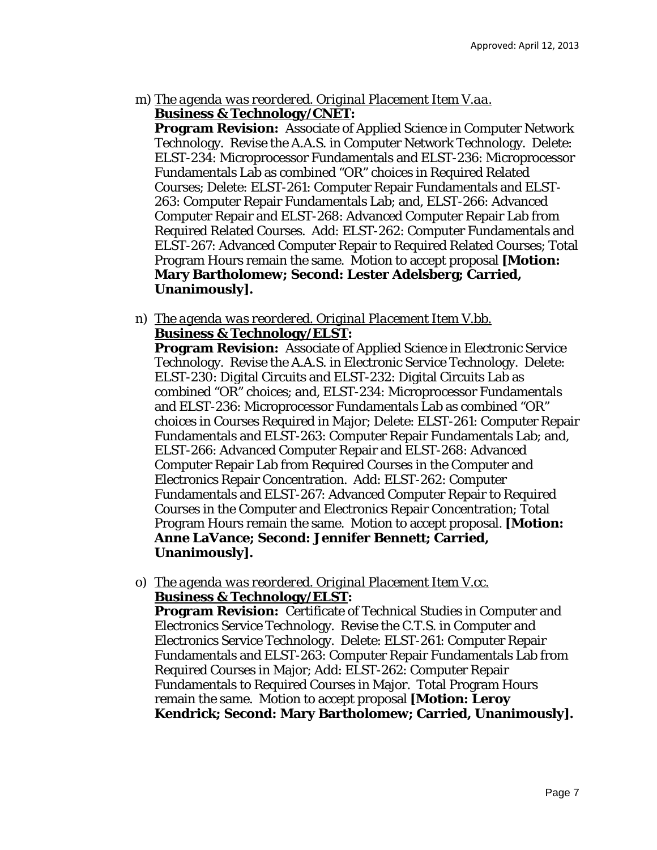m) *The agenda was reordered. Original Placement Item V.aa.*  **Business & Technology/CNET:** 

**Program Revision:** Associate of Applied Science in Computer Network Technology. Revise the A.A.S. in Computer Network Technology. Delete: ELST-234: Microprocessor Fundamentals and ELST-236: Microprocessor Fundamentals Lab as combined "OR" choices in Required Related Courses; Delete: ELST-261: Computer Repair Fundamentals and ELST-263: Computer Repair Fundamentals Lab; and, ELST-266: Advanced Computer Repair and ELST-268: Advanced Computer Repair Lab from Required Related Courses. Add: ELST-262: Computer Fundamentals and ELST-267: Advanced Computer Repair to Required Related Courses; Total Program Hours remain the same. Motion to accept proposal **[Motion: Mary Bartholomew; Second: Lester Adelsberg; Carried, Unanimously].**

n) *The agenda was reordered. Original Placement Item V.bb.*  **Business & Technology/ELST:** 

**Program Revision:** Associate of Applied Science in Electronic Service Technology. Revise the A.A.S. in Electronic Service Technology. Delete: ELST-230: Digital Circuits and ELST-232: Digital Circuits Lab as combined "OR" choices; and, ELST-234: Microprocessor Fundamentals and ELST-236: Microprocessor Fundamentals Lab as combined "OR" choices in Courses Required in Major; Delete: ELST-261: Computer Repair Fundamentals and ELST-263: Computer Repair Fundamentals Lab; and, ELST-266: Advanced Computer Repair and ELST-268: Advanced Computer Repair Lab from Required Courses in the Computer and Electronics Repair Concentration. Add: ELST-262: Computer Fundamentals and ELST-267: Advanced Computer Repair to Required Courses in the Computer and Electronics Repair Concentration; Total Program Hours remain the same. Motion to accept proposal. **[Motion: Anne LaVance; Second: Jennifer Bennett; Carried, Unanimously].**

o) *The agenda was reordered. Original Placement Item V.cc.*  **Business & Technology/ELST:** 

**Program Revision:** Certificate of Technical Studies in Computer and Electronics Service Technology. Revise the C.T.S. in Computer and Electronics Service Technology. Delete: ELST-261: Computer Repair Fundamentals and ELST-263: Computer Repair Fundamentals Lab from Required Courses in Major; Add: ELST-262: Computer Repair Fundamentals to Required Courses in Major. Total Program Hours remain the same. Motion to accept proposal **[Motion: Leroy Kendrick; Second: Mary Bartholomew; Carried, Unanimously].**